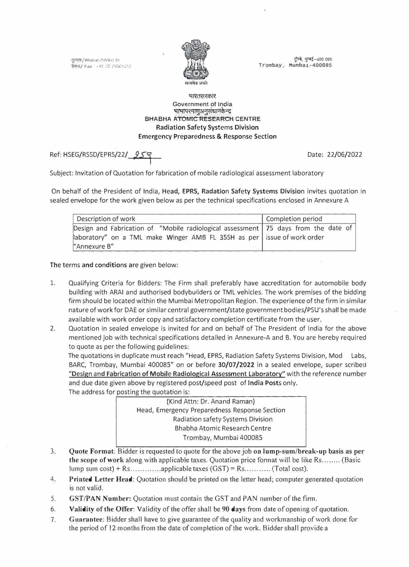क्समाय / Phone 255901 ;'+  $\frac{1}{2}$  fax  $\frac{1}{2}$  .  $\frac{1}{2}$  .  $\frac{1}{2}$  .  $\frac{1}{2}$ 



ट्रॅम्बे, मुम्बई-400 085 Trombay, Mumbai-400085

## भारतसरकार Government of India भाभापरमाणुअनुसंधानकेन्द्र **BHABHA ATOMIC RESEARCH CENTRE**  Radiation Safety Systems Division Emergency Preparedness & Response Section

Ref: HSEG/RSSD/EPRS/22/ 959 (2022)

Subject: Invitation of Quotation for fabrication of mobile radiological assessment laboratory

On behalf of the President of India, Head, EPRS, Radation Safety Systems Division invites quotation in sealed envelope for the work given below as per the technical specifications enclosed in Annexure A

| Description of work                                                                  | Completion period |
|--------------------------------------------------------------------------------------|-------------------|
| Design and Fabrication of "Mobile radiological assessment   75 days from the date of |                   |
| aboratory" on a TML make Winger AMB FL 35SH as per issue of work order               |                   |
| "Annexure B"                                                                         |                   |

The terms and conditions are given below:

- 1. Qualifying Criteria for Bidders: The Firm shall preferably have accreditation for automobile body building with ARAI and authorised bodybuilders or TML vehicles. The work premises of the bidding firm should be located within the Mumbai Metropolitan Region. The experience of the firm in similar nature of work for DAE or similar central government/state government bodies/PSU's shall be made available with work order copy and satisfactory completion certificate from the user.
- 2. Quotation in sealed envelope is invited for and on behalf of The President of India for the above mentioned job with technical specifications detailed in Annexure-A and B. You are hereby required to quote as per the following guidelines:

The quotations in duplicate must reach "Head, EPRS, Radiation Safety Systems Division, Mod Labs, BARC, Trombay, Mumbai 400085" on or before 30/07/2022 in a sealed envelope, super scribed "Design and Fabrication of Mobile Radiological Assessment Laboratory" with the reference number and due date given above by registered post/speed post of India Posts only.

The address for posting the quotation is:

(Kind Attn: Dr. Anand Raman) Head, Emergency Preparedness Response Section Radiation safety Systems Division Bhabha Atomic Research Centre Trombay, Mumbai 400085

- 3. **Quote Format:** Bidder is requested to quote for the above job **on lump-sum/break-up basis as per the scope of work** along with applicable taxes. Quotation price format will be like Rs ........ (Basic lump sum cost)+ Rs ............. applicable taxes (GST) =Rs ........... (Total cost).
- 4. **Printed Letter Head:** Quotation should be printed on the letter head; computer generated quotation is not valid.
- 5. GST/PAN **Number:** Quotation must contain the GST and PAN number of the firm.
- 6. **Validity of the Offer:** Validity of the offer shall be 90 **days** from date of opening of quotation.
- 7. **Guarantee:** Bidder shall have to give guarantee of the quality and workmanship of work done for the period of 12 months from the date of completion of the work. Bidder shall provide a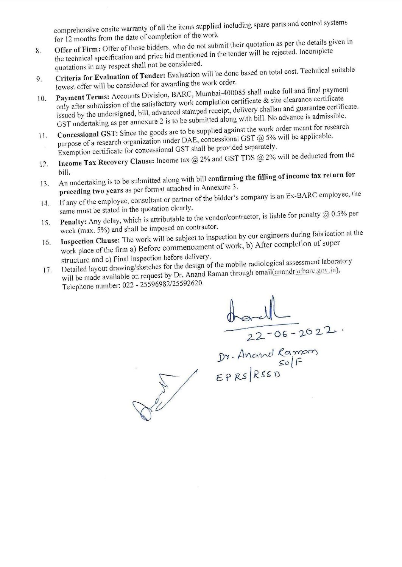comprehensive onsite warranty of all the items supplied including spare parts and control systems for 12 months from the date of completion of the work

- Offer of Firm: Offer of those bidders, who do not submit their quotation as per the details given in the technical specification and price bid mentioned in the tender will be rejected. Incomplete 8. quotations in any respect shall not be considered.
- Criteria for Evaluation of Tender: Evaluation will be done based on total cost. Technical suitable 9. lowest offer will be considered for awarding the work order.
- Payment Terms: Accounts Division, BARC, Mumbai-400085 shall make full and final payment only after submission of the satisfactory work completion certificate & site clearance certificate 10. issued by the undersigned, bill, advanced stamped receipt, delivery challan and guarantee certificate. GST undertaking as per annexure 2 is to be submitted along with bill. No advance is admissible.
- Concessional GST: Since the goods are to be supplied against the work order meant for research purpose of a research organization under DAE, concessional GST @ 5% will be applicable.  $11.$ Exemption certificate for concessional GST shall be provided separately.
- Income Tax Recovery Clause: Income tax  $@$  2% and GST TDS  $@$  2% will be deducted from the  $12.$
- bill. An undertaking is to be submitted along with bill confirming the filling of income tax return for  $13.$ preceding two years as per format attached in Annexure 3.
- If any of the employee, consultant or partner of the bidder's company is an Ex-BARC employee, the  $14.$ same must be stated in the quotation clearly.
- Penalty: Any delay, which is attributable to the vendor/contractor, is liable for penalty  $@0.5\%$  per 15. week (max. 5%) and shall be imposed on contractor.
- Inspection Clause: The work will be subject to inspection by our engineers during fabrication at the work place of the firm a) Before commencement of work, b) After completion of super  $16.$ structure and c) Final inspection before delivery.
- Detailed layout drawing/sketches for the design of the mobile radiological assessment laboratory will be made available on request by Dr. Anand Raman through email(anandr@barc.gov.in),  $17.$
- Telephone number: 022 25596982/25592620.

 $\frac{\frac{d^{2}1}{22-06-2022}}{22-06-2022}$